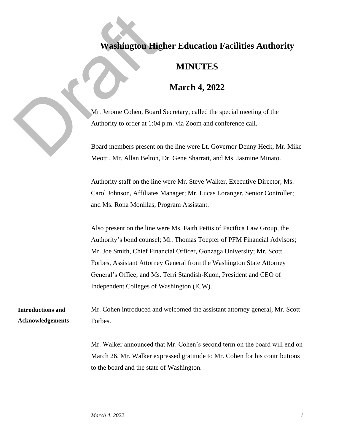## **Washington Higher Education Facilities Authority**

## **MINUTES**

## **March 4, 2022**

Washington High<br>Mr. Jerome Cohen, Board<br>Authority to order at 1:04<br>Board members present of Mr. Jerome Cohen, Board Secretary, called the special meeting of the Authority to order at 1:04 p.m. via Zoom and conference call.

Board members present on the line were Lt. Governor Denny Heck, Mr. Mike Meotti, Mr. Allan Belton, Dr. Gene Sharratt, and Ms. Jasmine Minato.

Authority staff on the line were Mr. Steve Walker, Executive Director; Ms. Carol Johnson, Affiliates Manager; Mr. Lucas Loranger, Senior Controller; and Ms. Rona Monillas, Program Assistant.

Also present on the line were Ms. Faith Pettis of Pacifica Law Group, the Authority's bond counsel; Mr. Thomas Toepfer of PFM Financial Advisors; Mr. Joe Smith, Chief Financial Officer, Gonzaga University; Mr. Scott Forbes, Assistant Attorney General from the Washington State Attorney General's Office; and Ms. Terri Standish-Kuon, President and CEO of Independent Colleges of Washington (ICW).

Mr. Cohen introduced and welcomed the assistant attorney general, Mr. Scott Forbes. **Introductions and Acknowledgements**

> Mr. Walker announced that Mr. Cohen's second term on the board will end on March 26. Mr. Walker expressed gratitude to Mr. Cohen for his contributions to the board and the state of Washington.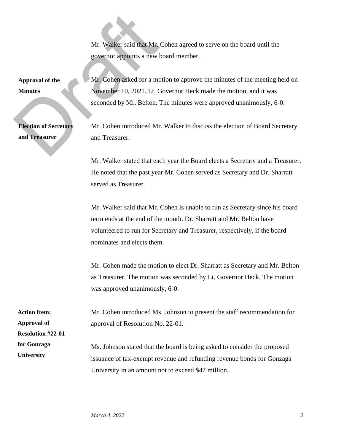Mr. Walker said that Mr. Cohen agreed to serve on the board until the governor appoints a new board member.

**Approval of the Minutes**

**Election of Secretary and Treasurer**

Mr. Walker said that Mr.<br>
governor appoints a new b<br>
Approval of the<br>
Mr. Cohen asked for a mc<br>
Munutes<br>
November 10, 2021. Lt. C<br>
seconded by Mr. Belton.<br>
Election of Secretary<br>
Mr. Cohen introduced Mr<br>
and Treasurer. Mr. Cohen asked for a motion to approve the minutes of the meeting held on November 10, 2021. Lt. Governor Heck made the motion, and it was seconded by Mr. Belton. The minutes were approved unanimously, 6-0.

Mr. Cohen introduced Mr. Walker to discuss the election of Board Secretary and Treasurer.

Mr. Walker stated that each year the Board elects a Secretary and a Treasurer. He noted that the past year Mr. Cohen served as Secretary and Dr. Sharratt served as Treasurer.

Mr. Walker said that Mr. Cohen is unable to run as Secretary since his board term ends at the end of the month. Dr. Sharratt and Mr. Belton have volunteered to run for Secretary and Treasurer, respectively, if the board nominates and elects them.

Mr. Cohen made the motion to elect Dr. Sharratt as Secretary and Mr. Belton as Treasurer. The motion was seconded by Lt. Governor Heck. The motion was approved unanimously, 6-0.

Mr. Cohen introduced Ms. Johnson to present the staff recommendation for approval of Resolution No. 22-01.

Ms. Johnson stated that the board is being asked to consider the proposed issuance of tax-exempt revenue and refunding revenue bonds for Gonzaga University in an amount not to exceed \$47 million.

**Action Item: Approval of Resolution #22-01 for Gonzaga University**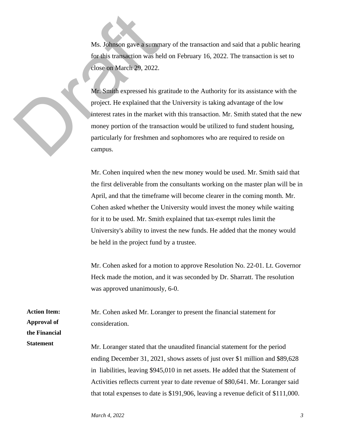Ms. Johnson gave a summary of the transaction and said that a public hearing for this transaction was held on February 16, 2022. The transaction is set to close on March 29, 2022.

Ms. Johnson gave a summ<br>for this transaction was he<br>close on March 29, 2022.<br>Mr. Smith expressed his g<br>project. He explained that<br>interest rates in the marke<br>money portion of the trans<br>particularly for freshmen a<br>campus. Mr. Smith expressed his gratitude to the Authority for its assistance with the project. He explained that the University is taking advantage of the low interest rates in the market with this transaction. Mr. Smith stated that the new money portion of the transaction would be utilized to fund student housing, particularly for freshmen and sophomores who are required to reside on campus.

> Mr. Cohen inquired when the new money would be used. Mr. Smith said that the first deliverable from the consultants working on the master plan will be in April, and that the timeframe will become clearer in the coming month. Mr. Cohen asked whether the University would invest the money while waiting for it to be used. Mr. Smith explained that tax-exempt rules limit the University's ability to invest the new funds. He added that the money would be held in the project fund by a trustee.

> Mr. Cohen asked for a motion to approve Resolution No. 22-01. Lt. Governor Heck made the motion, and it was seconded by Dr. Sharratt. The resolution was approved unanimously, 6-0.

Mr. Cohen asked Mr. Loranger to present the financial statement for consideration.

Mr. Loranger stated that the unaudited financial statement for the period ending December 31, 2021, shows assets of just over \$1 million and \$89,628 in liabilities, leaving \$945,010 in net assets. He added that the Statement of Activities reflects current year to date revenue of \$80,641. Mr. Loranger said that total expenses to date is \$191,906, leaving a revenue deficit of \$111,000.

**Action Item: Approval of the Financial Statement**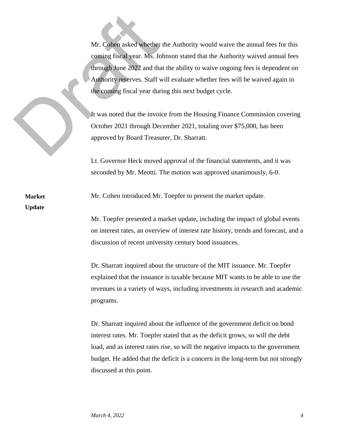Mr. Cohen asked whether<br>coming fiscal year. Ms. Journal of the coming fiscal year. Ms. Journal the<br>Authority reserves. Staff v<br>the coming fiscal year dur<br>It was noted that the involution of the coming fiscal year during<br>Oc Mr. Cohen asked whether the Authority would waive the annual fees for this coming fiscal year. Ms. Johnson stated that the Authority waived annual fees through June 2022 and that the ability to waive ongoing fees is dependent on Authority reserves. Staff will evaluate whether fees will be waived again in the coming fiscal year during this next budget cycle.

It was noted that the invoice from the Housing Finance Commission covering October 2021 through December 2021, totaling over \$75,000, has been approved by Board Treasurer, Dr. Sharratt.

Lt. Governor Heck moved approval of the financial statements, and it was seconded by Mr. Meotti. The motion was approved unanimously, 6-0.

**Market Update**

Mr. Cohen introduced Mr. Toepfer to present the market update.

Mr. Toepfer presented a market update, including the impact of global events on interest rates, an overview of interest rate history, trends and forecast, and a discussion of recent university century bond issuances.

Dr. Sharratt inquired about the structure of the MIT issuance. Mr. Toepfer explained that the issuance is taxable because MIT wants to be able to use the revenues in a variety of ways, including investments in research and academic programs.

Dr. Sharratt inquired about the influence of the government deficit on bond interest rates. Mr. Toepfer stated that as the deficit grows, so will the debt load, and as interest rates rise, so will the negative impacts to the government budget. He added that the deficit is a concern in the long-term but not strongly discussed at this point.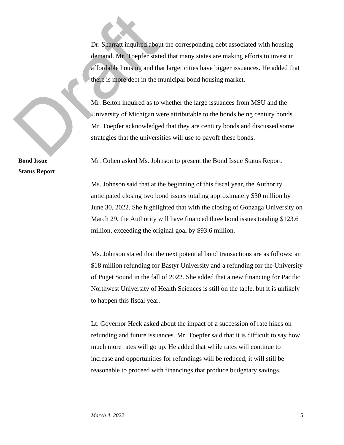Dr. Sharratt inquired about demand. Mr. Toepfer state<br>affordable housing and the there is more debt in the n<br>Mr. Belton inquired as to<br>University of Michigan w<br>Mr. Toepfer acknowledge<br>strategies that the university Dr. Sharratt inquired about the corresponding debt associated with housing demand. Mr. Toepfer stated that many states are making efforts to invest in affordable housing and that larger cities have bigger issuances. He added that there is more debt in the municipal bond housing market.

Mr. Belton inquired as to whether the large issuances from MSU and the University of Michigan were attributable to the bonds being century bonds. Mr. Toepfer acknowledged that they are century bonds and discussed some strategies that the universities will use to payoff these bonds.

**Bond Issue Status Report** Mr. Cohen asked Ms. Johnson to present the Bond Issue Status Report.

Ms. Johnson said that at the beginning of this fiscal year, the Authority anticipated closing two bond issues totaling approximately \$30 million by June 30, 2022. She highlighted that with the closing of Gonzaga University on March 29, the Authority will have financed three bond issues totaling \$123.6 million, exceeding the original goal by \$93.6 million.

Ms. Johnson stated that the next potential bond transactions are as follows: an \$18 million refunding for Bastyr University and a refunding for the University of Puget Sound in the fall of 2022. She added that a new financing for Pacific Northwest University of Health Sciences is still on the table, but it is unlikely to happen this fiscal year.

Lt. Governor Heck asked about the impact of a succession of rate hikes on refunding and future issuances. Mr. Toepfer said that it is difficult to say how much more rates will go up. He added that while rates will continue to increase and opportunities for refundings will be reduced, it will still be reasonable to proceed with financings that produce budgetary savings.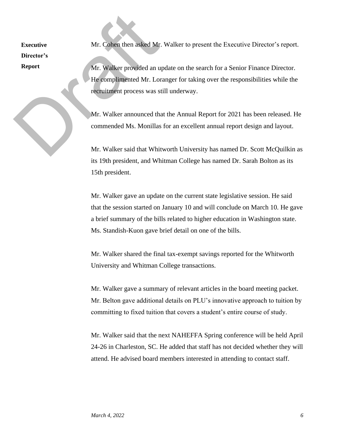**Executive Director's Report**

Mr. Cohen then asked Mr. Walker to present the Executive Director's report.

Executive<br>
Mr. Cohen then asked Mr<br>
Director's<br>
Report<br>
Mr. Walker provided an u<br>
He complimented Mr. Lor<br>
recruitment process was s<br>
Mr. Walker announced the<br>
commended Ms. Monillas<br>
Mr. Walker said that White<br>
Mr. Walker Mr. Walker provided an update on the search for a Senior Finance Director. He complimented Mr. Loranger for taking over the responsibilities while the recruitment process was still underway.

Mr. Walker announced that the Annual Report for 2021 has been released. He commended Ms. Monillas for an excellent annual report design and layout.

Mr. Walker said that Whitworth University has named Dr. Scott McQuilkin as its 19th president, and Whitman College has named Dr. Sarah Bolton as its 15th president.

Mr. Walker gave an update on the current state legislative session. He said that the session started on January 10 and will conclude on March 10. He gave a brief summary of the bills related to higher education in Washington state. Ms. Standish-Kuon gave brief detail on one of the bills.

Mr. Walker shared the final tax-exempt savings reported for the Whitworth University and Whitman College transactions.

Mr. Walker gave a summary of relevant articles in the board meeting packet. Mr. Belton gave additional details on PLU's innovative approach to tuition by committing to fixed tuition that covers a student's entire course of study.

Mr. Walker said that the next NAHEFFA Spring conference will be held April 24-26 in Charleston, SC. He added that staff has not decided whether they will attend. He advised board members interested in attending to contact staff.